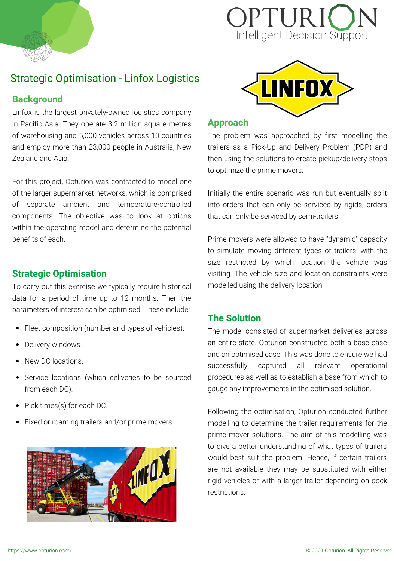

# OPTURI Intelligent Decision Support

# Strategic Optimisation - Linfox Logistics

#### **Background**

Linfox is the largest privately-owned logistics company in Pacific Asia. They operate 3.2 million square metres of warehousing and 5,000 vehicles across 10 countries and employ more than 23,000 people in Australia, New Zealand and Asia.

For this project, Opturion was contracted to model one of the larger supermarket networks, which is comprised of separate ambient and temperature-controlled components. The objective was to look at options within the operating model and determine the potential benefits of each.

# **Strategic Optimisation**

To carry out this exercise we typically require historical data for a period of time up to 12 months. Then the parameters of interest can be optimised. These include:

- Fleet composition (number and types of vehicles).
- Delivery windows.  $\bullet$
- New DC locations.
- Service locations (which deliveries to be sourced from each DC).
- Pick times(s) for each DC.
- Fixed or roaming trailers and/or prime movers.





#### **Approach**

The problem was approached by first modelling the trailers as a Pick-Up and Delivery Problem (PDP) and then using the solutions to create pickup/delivery stops to optimize the prime movers.

Initially the entire scenario was run but eventually split into orders that can only be serviced by rigids, orders that can only be serviced by semi-trailers.

Prime movers were allowed to have "dynamic" capacity to simulate moving different types of trailers, with the size restricted by which location the vehicle was visiting. The vehicle size and location constraints were modelled using the delivery location.

## **The Solution**

The model consisted of supermarket deliveries across an entire state. Opturion constructed both a base case and an optimised case. This was done to ensure we had successfully captured all relevant operational procedures as well as to establish a base from which to gauge any improvements in the optimised solution.

Following the optimisation, Opturion conducted further modelling to determine the trailer requirements for the prime mover solutions. The aim of this modelling was to give a better understanding of what types of trailers would best suit the problem. Hence, if certain trailers are not available they may be substituted with either rigid vehicles or with a larger trailer depending on dock restrictions.